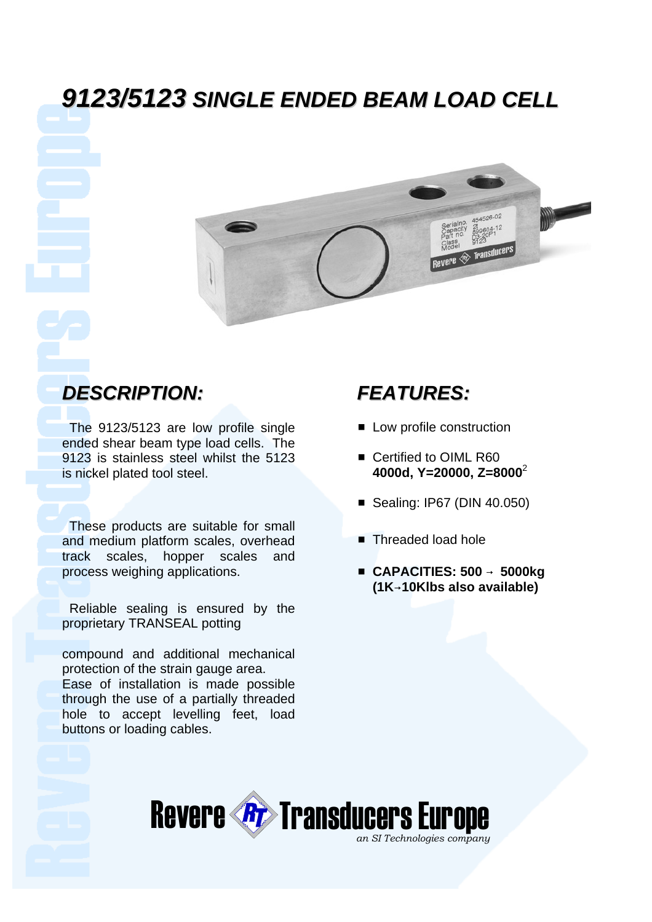# *9123/5123 SINGLE ENDED BEAM LOAD CELL*



## *DESCRIPTION:*

 The 9123/5123 are low profile single ended shear beam type load cells. The 9123 is stainless steel whilst the 5123 is nickel plated tool steel.

 These products are suitable for small and medium platform scales, overhead track scales, hopper scales and process weighing applications.

 Reliable sealing is ensured by the proprietary TRANSEAL potting

compound and additional mechanical protection of the strain gauge area. Ease of installation is made possible through the use of a partially threaded hole to accept levelling feet, load buttons or loading cables.

### *FEATURES:*

- Low profile construction
- Certified to OIML R60 **4000d, Y=20000, Z=8000**<sup>2</sup>
- Sealing: IP67 (DIN 40.050)
- $\blacksquare$  Threaded load hole
- CAPACITIES: 500 → 5000kg **(1K**6**10Klbs also available)**